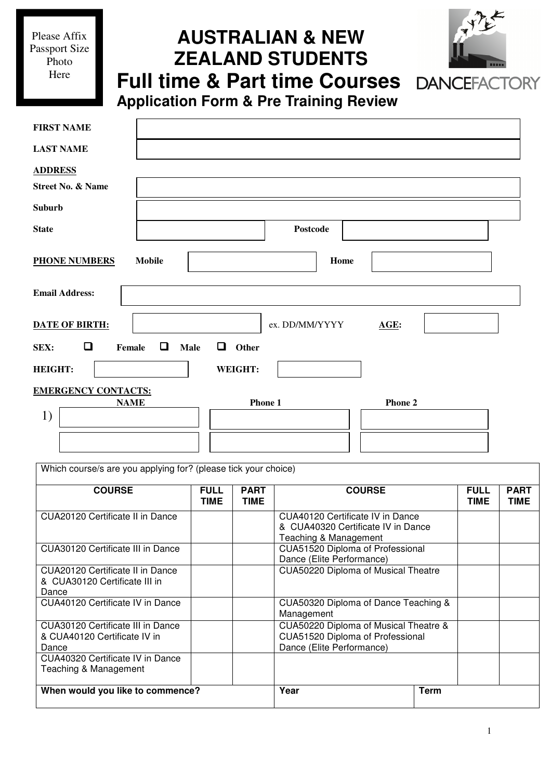Please Affix Passport Size Photo Here

I

# **AUSTRALIAN & NEW ZEALAND STUDENTS Full time & Part time Courses**



**Application Form & Pre Training Review**

| <b>FIRST NAME</b>                                                    |                        |
|----------------------------------------------------------------------|------------------------|
| <b>LAST NAME</b>                                                     |                        |
| <b>ADDRESS</b>                                                       |                        |
| <b>Street No. &amp; Name</b>                                         |                        |
| <b>Suburb</b>                                                        |                        |
| <b>State</b>                                                         | Postcode               |
| <b>PHONE NUMBERS</b><br><b>Mobile</b>                                | Home                   |
| <b>Email Address:</b>                                                |                        |
| <b>DATE OF BIRTH:</b>                                                | ex. DD/MM/YYYY<br>AGE: |
| $\Box$<br>$\Box$<br>$\Box$<br>Other<br>Female<br><b>Male</b><br>SEX: |                        |
| <b>HEIGHT:</b><br>WEIGHT:                                            |                        |
| <b>EMERGENCY CONTACTS:</b>                                           |                        |
| <b>NAME</b><br>1)                                                    | Phone 1<br>Phone 2     |
|                                                                      |                        |

Which course/s are you applying for? (please tick your choice)

| <b>COURSE</b>                                                              | <b>FULL</b><br>TIME | <b>PART</b><br><b>TIME</b> | <b>COURSE</b>                                                                                          |             | <b>FULL</b><br>TIME | <b>PART</b><br><b>TIME</b> |
|----------------------------------------------------------------------------|---------------------|----------------------------|--------------------------------------------------------------------------------------------------------|-------------|---------------------|----------------------------|
| CUA20120 Certificate II in Dance                                           |                     |                            | CUA40120 Certificate IV in Dance<br>& CUA40320 Certificate IV in Dance<br>Teaching & Management        |             |                     |                            |
| CUA30120 Certificate III in Dance                                          |                     |                            | CUA51520 Diploma of Professional<br>Dance (Elite Performance)                                          |             |                     |                            |
| CUA20120 Certificate II in Dance<br>& CUA30120 Certificate III in<br>Dance |                     |                            | CUA50220 Diploma of Musical Theatre                                                                    |             |                     |                            |
| CUA40120 Certificate IV in Dance                                           |                     |                            | CUA50320 Diploma of Dance Teaching &<br>Management                                                     |             |                     |                            |
| CUA30120 Certificate III in Dance<br>& CUA40120 Certificate IV in<br>Dance |                     |                            | CUA50220 Diploma of Musical Theatre &<br>CUA51520 Diploma of Professional<br>Dance (Elite Performance) |             |                     |                            |
| CUA40320 Certificate IV in Dance<br>Teaching & Management                  |                     |                            |                                                                                                        |             |                     |                            |
| When would you like to commence?                                           |                     |                            | Year                                                                                                   | <b>Term</b> |                     |                            |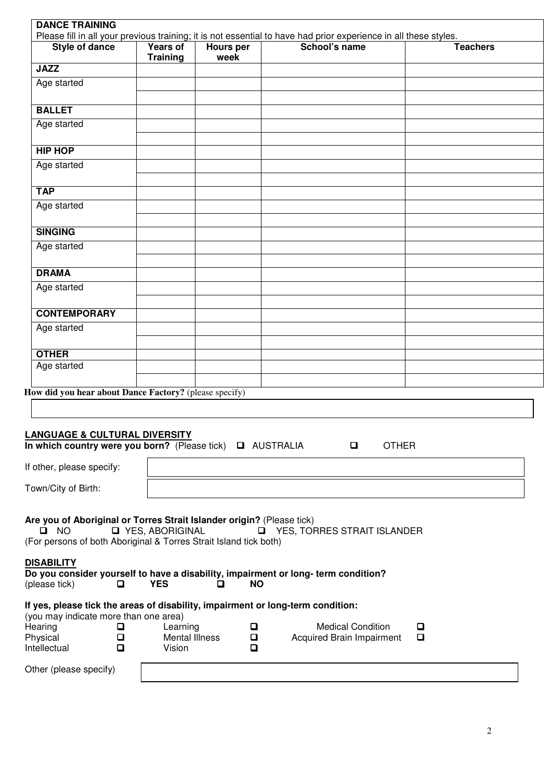| <b>Style of dance</b>                                                                                                                                                                                           | Years of<br><b>Training</b>            | <b>Hours per</b><br>week      | School's name                                                                                                     | <b>Teachers</b> |
|-----------------------------------------------------------------------------------------------------------------------------------------------------------------------------------------------------------------|----------------------------------------|-------------------------------|-------------------------------------------------------------------------------------------------------------------|-----------------|
| <b>JAZZ</b>                                                                                                                                                                                                     |                                        |                               |                                                                                                                   |                 |
| Age started                                                                                                                                                                                                     |                                        |                               |                                                                                                                   |                 |
|                                                                                                                                                                                                                 |                                        |                               |                                                                                                                   |                 |
| <b>BALLET</b>                                                                                                                                                                                                   |                                        |                               |                                                                                                                   |                 |
| Age started                                                                                                                                                                                                     |                                        |                               |                                                                                                                   |                 |
| <b>HIP HOP</b>                                                                                                                                                                                                  |                                        |                               |                                                                                                                   |                 |
| Age started                                                                                                                                                                                                     |                                        |                               |                                                                                                                   |                 |
|                                                                                                                                                                                                                 |                                        |                               |                                                                                                                   |                 |
| <b>TAP</b>                                                                                                                                                                                                      |                                        |                               |                                                                                                                   |                 |
| Age started                                                                                                                                                                                                     |                                        |                               |                                                                                                                   |                 |
|                                                                                                                                                                                                                 |                                        |                               |                                                                                                                   |                 |
| <b>SINGING</b>                                                                                                                                                                                                  |                                        |                               |                                                                                                                   |                 |
| Age started                                                                                                                                                                                                     |                                        |                               |                                                                                                                   |                 |
|                                                                                                                                                                                                                 |                                        |                               |                                                                                                                   |                 |
| <b>DRAMA</b>                                                                                                                                                                                                    |                                        |                               |                                                                                                                   |                 |
| Age started                                                                                                                                                                                                     |                                        |                               |                                                                                                                   |                 |
| <b>CONTEMPORARY</b>                                                                                                                                                                                             |                                        |                               |                                                                                                                   |                 |
| Age started                                                                                                                                                                                                     |                                        |                               |                                                                                                                   |                 |
|                                                                                                                                                                                                                 |                                        |                               |                                                                                                                   |                 |
| <b>OTHER</b>                                                                                                                                                                                                    |                                        |                               |                                                                                                                   |                 |
| Age started                                                                                                                                                                                                     |                                        |                               |                                                                                                                   |                 |
| How did you hear about Dance Factory? (please specify)                                                                                                                                                          |                                        |                               |                                                                                                                   |                 |
| <b>LANGUAGE &amp; CULTURAL DIVERSITY</b><br>In which country were you born? (Please tick) Q AUSTRALIA<br>If other, please specify:                                                                              |                                        |                               | <b>OTHER</b><br>$\Box$                                                                                            |                 |
| Town/City of Birth:                                                                                                                                                                                             |                                        |                               |                                                                                                                   |                 |
|                                                                                                                                                                                                                 |                                        |                               |                                                                                                                   |                 |
| Are you of Aboriginal or Torres Strait Islander origin? (Please tick)<br>$\blacksquare$ NO<br>(For persons of both Aboriginal & Torres Strait Island tick both)<br><b>DISABILITY</b><br>(please tick)<br>$\Box$ | <b>D</b> YES, ABORIGINAL<br><b>YES</b> | $\Box$<br><b>NO</b><br>$\Box$ | YES, TORRES STRAIT ISLANDER<br>Do you consider yourself to have a disability, impairment or long- term condition? |                 |
|                                                                                                                                                                                                                 |                                        |                               |                                                                                                                   |                 |
| If yes, please tick the areas of disability, impairment or long-term condition:                                                                                                                                 |                                        |                               |                                                                                                                   |                 |
| (you may indicate more than one area)<br>Hearing<br>$\Box$                                                                                                                                                      | Learning                               | □                             | <b>Medical Condition</b>                                                                                          | □               |
| Physical<br>$\Box$                                                                                                                                                                                              | <b>Mental Illness</b>                  | $\Box$                        | <b>Acquired Brain Impairment</b>                                                                                  | $\Box$          |
| Intellectual<br>□                                                                                                                                                                                               | Vision                                 | □                             |                                                                                                                   |                 |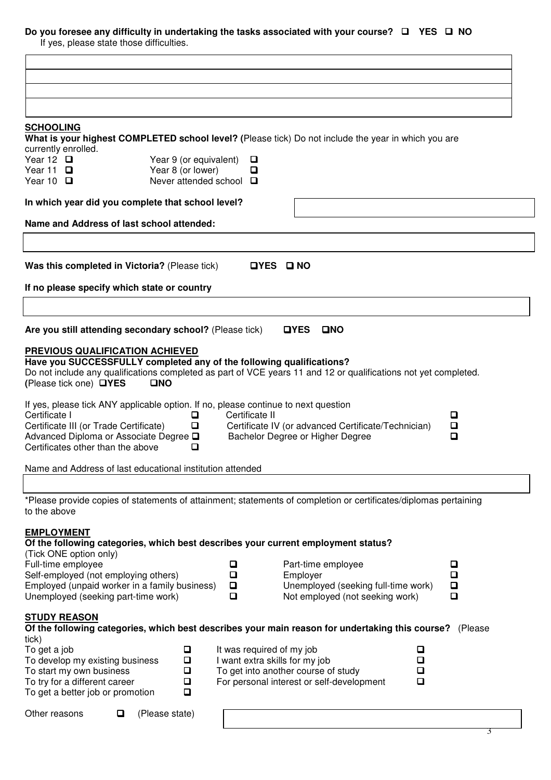# **Do you foresee any difficulty in undertaking the tasks associated with your course? □ YES □ NO**

If yes, please state those difficulties.

| <b>SCHOOLING</b>                                                                                                                                                                                                             |                                      |                                   | What is your highest COMPLETED school level? (Please tick) Do not include the year in which you are                                                                                           |                       |                            |
|------------------------------------------------------------------------------------------------------------------------------------------------------------------------------------------------------------------------------|--------------------------------------|-----------------------------------|-----------------------------------------------------------------------------------------------------------------------------------------------------------------------------------------------|-----------------------|----------------------------|
| currently enrolled.                                                                                                                                                                                                          |                                      |                                   |                                                                                                                                                                                               |                       |                            |
| Year 12 $\Box$                                                                                                                                                                                                               | Year 9 (or equivalent)               | $\Box$                            |                                                                                                                                                                                               |                       |                            |
| Year 11 $\Box$<br>Year 10 $\Box$                                                                                                                                                                                             | Year 8 (or lower)                    | □<br>Never attended school $\Box$ |                                                                                                                                                                                               |                       |                            |
| In which year did you complete that school level?                                                                                                                                                                            |                                      |                                   |                                                                                                                                                                                               |                       |                            |
| Name and Address of last school attended:                                                                                                                                                                                    |                                      |                                   |                                                                                                                                                                                               |                       |                            |
|                                                                                                                                                                                                                              |                                      |                                   |                                                                                                                                                                                               |                       |                            |
| Was this completed in Victoria? (Please tick)                                                                                                                                                                                |                                      |                                   | OYES ONO                                                                                                                                                                                      |                       |                            |
| If no please specify which state or country                                                                                                                                                                                  |                                      |                                   |                                                                                                                                                                                               |                       |                            |
|                                                                                                                                                                                                                              |                                      |                                   |                                                                                                                                                                                               |                       |                            |
| Are you still attending secondary school? (Please tick)                                                                                                                                                                      |                                      |                                   | <b>OYES</b><br><b>OND</b>                                                                                                                                                                     |                       |                            |
| PREVIOUS QUALIFICATION ACHIEVED<br>Have you SUCCESSFULLY completed any of the following qualifications?<br>(Please tick one) □YES                                                                                            | OND                                  |                                   | Do not include any qualifications completed as part of VCE years 11 and 12 or qualifications not yet completed.                                                                               |                       |                            |
| If yes, please tick ANY applicable option. If no, please continue to next question<br>Certificate I<br>Certificate III (or Trade Certificate)<br>Advanced Diploma or Associate Degree Q<br>Certificates other than the above | O<br>O<br>□                          | Certificate II                    | Certificate IV (or advanced Certificate/Technician)<br>Bachelor Degree or Higher Degree                                                                                                       |                       | $\Box$<br>$\Box$<br>О      |
| Name and Address of last educational institution attended                                                                                                                                                                    |                                      |                                   |                                                                                                                                                                                               |                       |                            |
|                                                                                                                                                                                                                              |                                      |                                   |                                                                                                                                                                                               |                       |                            |
| to the above                                                                                                                                                                                                                 |                                      |                                   | *Please provide copies of statements of attainment; statements of completion or certificates/diplomas pertaining                                                                              |                       |                            |
| <b>EMPLOYMENT</b><br>(Tick ONE option only)<br>Full-time employee<br>Self-employed (not employing others)<br>Employed (unpaid worker in a family business)<br>Unemployed (seeking part-time work)                            |                                      | O<br>О<br>$\Box$<br>$\Box$        | Of the following categories, which best describes your current employment status?<br>Part-time employee<br>Employer<br>Unemployed (seeking full-time work)<br>Not employed (not seeking work) |                       | o<br>O<br>$\Box$<br>$\Box$ |
| <b>STUDY REASON</b><br>tick)<br>To get a job                                                                                                                                                                                 | $\Box$                               | It was required of my job         | Of the following categories, which best describes your main reason for undertaking this course? (Please                                                                                       | $\Box$                |                            |
| To develop my existing business<br>To start my own business<br>To try for a different career<br>To get a better job or promotion                                                                                             | $\Box$<br>$\Box$<br>$\Box$<br>$\Box$ |                                   | I want extra skills for my job<br>To get into another course of study<br>For personal interest or self-development                                                                            | $\Box$<br>$\Box$<br>□ |                            |
| Other reasons                                                                                                                                                                                                                | (Please state)<br>$\Box$             |                                   |                                                                                                                                                                                               |                       |                            |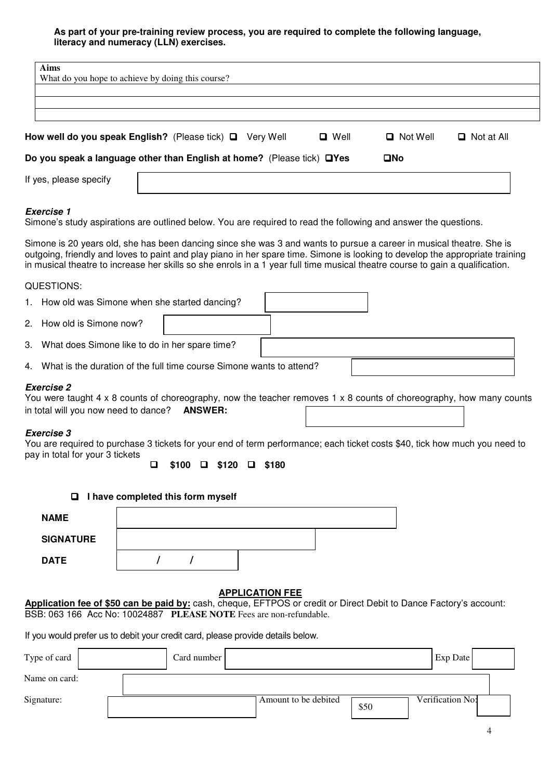### **As part of your pre-training review process, you are required to complete the following language, literacy and numeracy (LLN) exercises.**

| <b>Aims</b>                                                                             |                 |                   |  |  |  |  |  |
|-----------------------------------------------------------------------------------------|-----------------|-------------------|--|--|--|--|--|
| What do you hope to achieve by doing this course?                                       |                 |                   |  |  |  |  |  |
|                                                                                         |                 |                   |  |  |  |  |  |
|                                                                                         |                 |                   |  |  |  |  |  |
|                                                                                         |                 |                   |  |  |  |  |  |
| How well do you speak English? (Please tick) Q Very Well<br>$\Box$ Well                 | $\Box$ Not Well | $\Box$ Not at All |  |  |  |  |  |
| Do you speak a language other than English at home? (Please tick) □ Yes<br>$\square$ No |                 |                   |  |  |  |  |  |
| If yes, please specify                                                                  |                 |                   |  |  |  |  |  |

#### **Exercise 1**

Simone's study aspirations are outlined below. You are required to read the following and answer the questions.

Simone is 20 years old, she has been dancing since she was 3 and wants to pursue a career in musical theatre. She is outgoing, friendly and loves to paint and play piano in her spare time. Simone is looking to develop the appropriate training in musical theatre to increase her skills so she enrols in a 1 year full time musical theatre course to gain a qualification.

#### QUESTIONS:

| 1. How old was Simone when she started dancing?                         |
|-------------------------------------------------------------------------|
| 2. How old is Simone now?                                               |
| 3. What does Simone like to do in her spare time?                       |
| 4. What is the duration of the full time course Simone wants to attend? |

#### **Exercise 2**

You were taught 4 x 8 counts of choreography, now the teacher removes 1 x 8 counts of choreography, how many counts in total will you now need to dance? **ANSWER:**

#### **Exercise 3**

You are required to purchase 3 tickets for your end of term performance; each ticket costs \$40, tick how much you need to pay in total for your 3 tickets

 **\$100\$120\$180**

| $\Box$ I have completed this form myself |  |  |  |  |  |  |
|------------------------------------------|--|--|--|--|--|--|
| <b>NAME</b>                              |  |  |  |  |  |  |
| <b>SIGNATURE</b>                         |  |  |  |  |  |  |
| <b>DATE</b>                              |  |  |  |  |  |  |

# **APPLICATION FEE**

**Application fee of \$50 can be paid by:** cash, cheque, EFTPOS or credit or Direct Debit to Dance Factory's account: BSB: 063 166 Acc No: 10024887 **PLEASE NOTE** Fees are non-refundable.

If you would prefer us to debit your credit card, please provide details below.

| Type of card  | Card number |                      |      | Exp Date         |  |
|---------------|-------------|----------------------|------|------------------|--|
| Name on card: |             |                      |      |                  |  |
| Signature:    |             | Amount to be debited | \$50 | Verification No: |  |